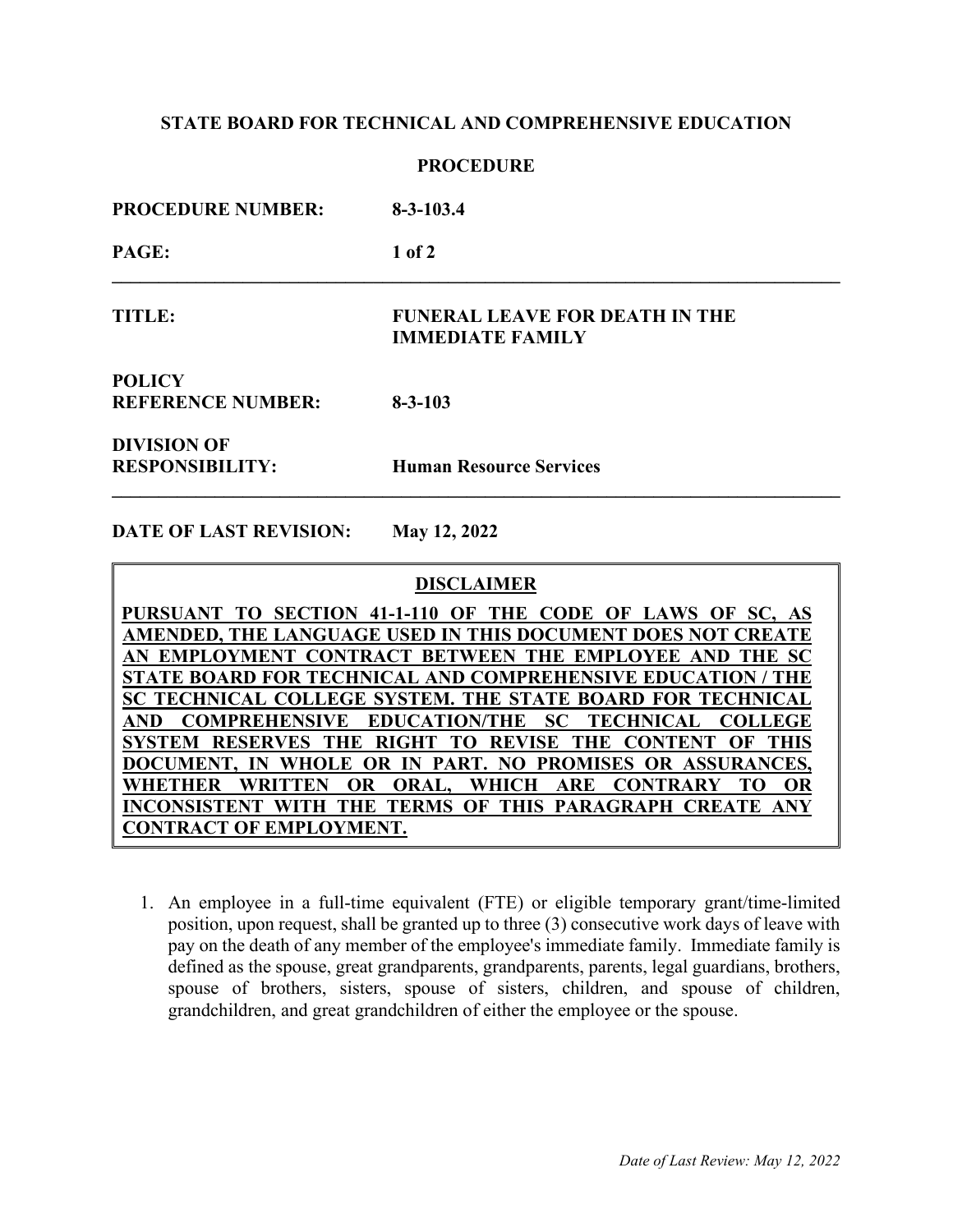## **STATE BOARD FOR TECHNICAL AND COMPREHENSIVE EDUCATION**

#### **PROCEDURE**

| <b>PROCEDURE NUMBER:</b>                     | $8 - 3 - 103.4$                                                  |
|----------------------------------------------|------------------------------------------------------------------|
| PAGE:                                        | $1$ of $2$                                                       |
| <b>TITLE:</b>                                | <b>FUNERAL LEAVE FOR DEATH IN THE</b><br><b>IMMEDIATE FAMILY</b> |
| <b>POLICY</b><br><b>REFERENCE NUMBER:</b>    | $8 - 3 - 103$                                                    |
| <b>DIVISION OF</b><br><b>RESPONSIBILITY:</b> | <b>Human Resource Services</b>                                   |

**DATE OF LAST REVISION: May 12, 2022**

#### **DISCLAIMER**

**PURSUANT TO SECTION 41-1-110 OF THE CODE OF LAWS OF SC, AS AMENDED, THE LANGUAGE USED IN THIS DOCUMENT DOES NOT CREATE AN EMPLOYMENT CONTRACT BETWEEN THE EMPLOYEE AND THE SC STATE BOARD FOR TECHNICAL AND COMPREHENSIVE EDUCATION / THE SC TECHNICAL COLLEGE SYSTEM. THE STATE BOARD FOR TECHNICAL AND COMPREHENSIVE EDUCATION/THE SC TECHNICAL COLLEGE SYSTEM RESERVES THE RIGHT TO REVISE THE CONTENT OF THIS DOCUMENT, IN WHOLE OR IN PART. NO PROMISES OR ASSURANCES, WHETHER WRITTEN OR ORAL, WHICH ARE CONTRARY TO OR INCONSISTENT WITH THE TERMS OF THIS PARAGRAPH CREATE ANY CONTRACT OF EMPLOYMENT.**

1. An employee in a full-time equivalent (FTE) or eligible temporary grant/time-limited position, upon request, shall be granted up to three (3) consecutive work days of leave with pay on the death of any member of the employee's immediate family. Immediate family is defined as the spouse, great grandparents, grandparents, parents, legal guardians, brothers, spouse of brothers, sisters, spouse of sisters, children, and spouse of children, grandchildren, and great grandchildren of either the employee or the spouse.